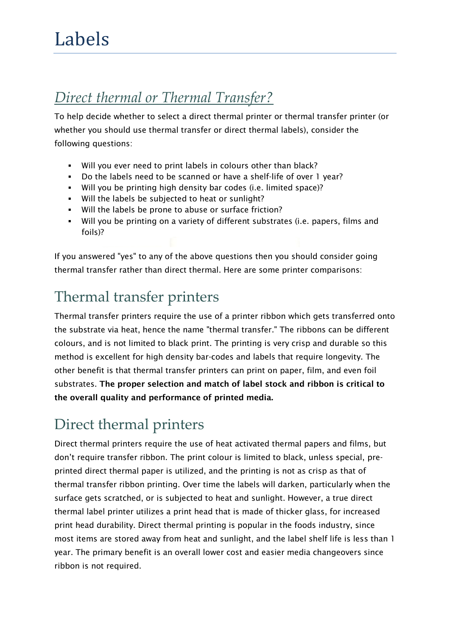#### *Direct thermal or Thermal Transfer?*

To help decide whether to select a direct thermal printer or thermal transfer printer (or whether you should use thermal transfer or direct thermal labels), consider the following questions:

- Will you ever need to print labels in colours other than black?
- Do the labels need to be scanned or have a shelf-life of over 1 year?
- Will you be printing high density bar codes (i.e. limited space)?
- . Will the labels be subjected to heat or sunlight?
- Will the labels be prone to abuse or surface friction?
- Will you be printing on a variety of different substrates (i.e. papers, films and foils)?

If you answered "yes" to any of the above questions then you should consider going thermal transfer rather than direct thermal. Here are some printer comparisons:

## Thermal transfer printers

Thermal transfer printers require the use of a printer ribbon which gets transferred onto the substrate via heat, hence the name "thermal transfer." The ribbons can be different colours, and is not limited to black print. The printing is very crisp and durable so this method is excellent for high density bar-codes and labels that require longevity. The other benefit is that thermal transfer printers can print on paper, film, and even foil substrates. **The proper selection and match of label stock and ribbon is critical to the overall quality and performance of printed media.**

# Direct thermal printers

Direct thermal printers require the use of heat activated thermal papers and films, but don't require transfer ribbon. The print colour is limited to black, unless special, preprinted direct thermal paper is utilized, and the printing is not as crisp as that of thermal transfer ribbon printing. Over time the labels will darken, particularly when the surface gets scratched, or is subjected to heat and sunlight. However, a true direct thermal label printer utilizes a print head that is made of thicker glass, for increased print head durability. Direct thermal printing is popular in the foods industry, since most items are stored away from heat and sunlight, and the label shelf life is less than 1 year. The primary benefit is an overall lower cost and easier media changeovers since ribbon is not required.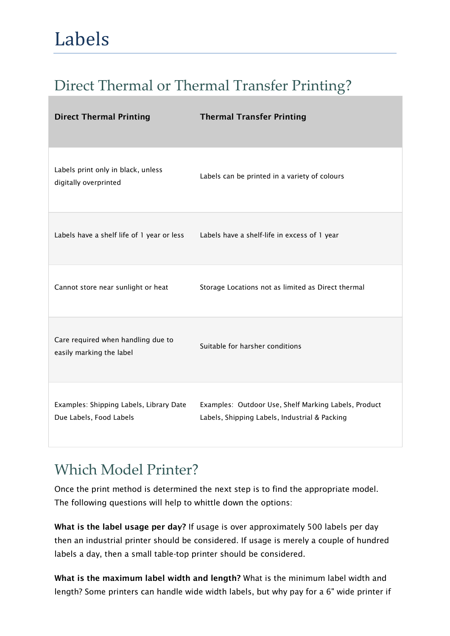### Direct Thermal or Thermal Transfer Printing?

| <b>Direct Thermal Printing</b>                                     | <b>Thermal Transfer Printing</b>                                                                      |
|--------------------------------------------------------------------|-------------------------------------------------------------------------------------------------------|
| Labels print only in black, unless<br>digitally overprinted        | Labels can be printed in a variety of colours                                                         |
| Labels have a shelf life of 1 year or less                         | Labels have a shelf-life in excess of 1 year                                                          |
| Cannot store near sunlight or heat                                 | Storage Locations not as limited as Direct thermal                                                    |
| Care required when handling due to<br>easily marking the label     | Suitable for harsher conditions                                                                       |
| Examples: Shipping Labels, Library Date<br>Due Labels, Food Labels | Examples: Outdoor Use, Shelf Marking Labels, Product<br>Labels, Shipping Labels, Industrial & Packing |

### Which Model Printer?

Once the print method is determined the next step is to find the appropriate model. The following questions will help to whittle down the options:

**What is the label usage per day?** If usage is over approximately 500 labels per day then an industrial printer should be considered. If usage is merely a couple of hundred labels a day, then a small table-top printer should be considered.

**What is the maximum label width and length?** What is the minimum label width and length? Some printers can handle wide width labels, but why pay for a 6" wide printer if